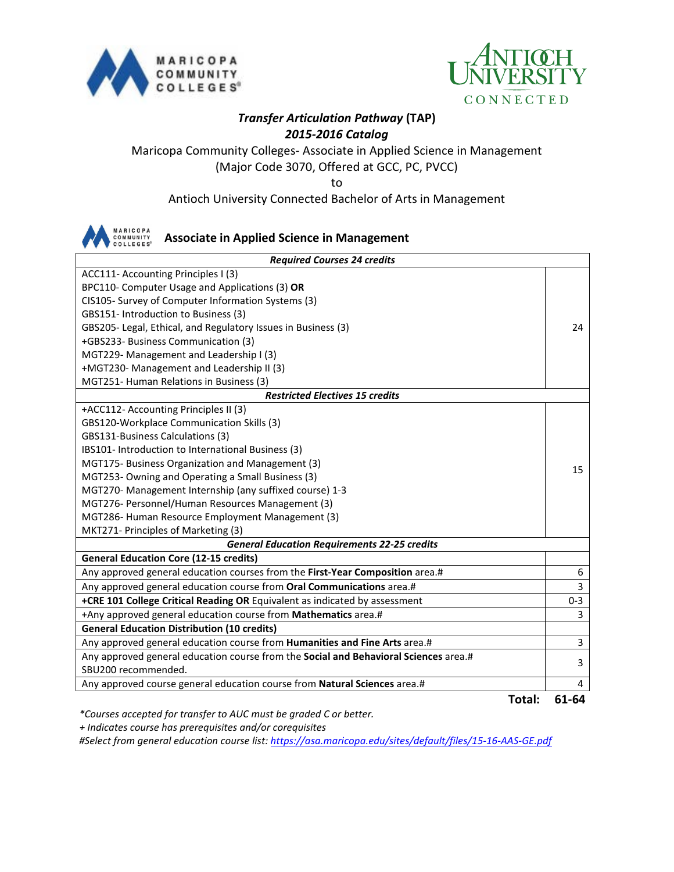



## *Transfer Articulation Pathway* **(TAP)** *2015-2016 Catalog*

### Maricopa Community Colleges- Associate in Applied Science in Management (Major Code 3070, Offered at GCC, PC, PVCC)

to

Antioch University Connected Bachelor of Arts in Management



#### **Associate in Applied Science in Management**

| <b>Required Courses 24 credits</b>                                                   |                |  |
|--------------------------------------------------------------------------------------|----------------|--|
| ACC111- Accounting Principles I (3)                                                  |                |  |
| BPC110- Computer Usage and Applications (3) OR                                       |                |  |
| CIS105- Survey of Computer Information Systems (3)                                   |                |  |
| GBS151- Introduction to Business (3)                                                 |                |  |
| GBS205- Legal, Ethical, and Regulatory Issues in Business (3)                        | 24             |  |
| +GBS233- Business Communication (3)                                                  |                |  |
| MGT229- Management and Leadership I (3)                                              |                |  |
| +MGT230- Management and Leadership II (3)                                            |                |  |
| MGT251- Human Relations in Business (3)                                              |                |  |
| <b>Restricted Electives 15 credits</b>                                               |                |  |
| +ACC112- Accounting Principles II (3)                                                |                |  |
| GBS120-Workplace Communication Skills (3)                                            |                |  |
| GBS131-Business Calculations (3)                                                     |                |  |
| IBS101- Introduction to International Business (3)                                   |                |  |
| MGT175- Business Organization and Management (3)                                     | 15             |  |
| MGT253- Owning and Operating a Small Business (3)                                    |                |  |
| MGT270- Management Internship (any suffixed course) 1-3                              |                |  |
| MGT276- Personnel/Human Resources Management (3)                                     |                |  |
| MGT286- Human Resource Employment Management (3)                                     |                |  |
| MKT271- Principles of Marketing (3)                                                  |                |  |
| <b>General Education Requirements 22-25 credits</b>                                  |                |  |
| <b>General Education Core (12-15 credits)</b>                                        |                |  |
| Any approved general education courses from the First-Year Composition area.#        | 6              |  |
| Any approved general education course from Oral Communications area.#                | 3              |  |
| +CRE 101 College Critical Reading OR Equivalent as indicated by assessment           | $0 - 3$        |  |
| +Any approved general education course from Mathematics area.#                       | 3              |  |
| <b>General Education Distribution (10 credits)</b>                                   |                |  |
| Any approved general education course from Humanities and Fine Arts area.#           | $\overline{3}$ |  |
| Any approved general education course from the Social and Behavioral Sciences area.# | 3              |  |
| SBU200 recommended.                                                                  |                |  |
| Any approved course general education course from Natural Sciences area.#            | 4              |  |
| Tatal. <b>Tata</b>                                                                   | C1 C1          |  |

**Total: 61-64**

*\*Courses accepted for transfer to AUC must be graded C or better.*

 *+ Indicates course has prerequisites and/or corequisites*

*#Select from general education course list:<https://asa.maricopa.edu/sites/default/files/15-16-AAS-GE.pdf>*